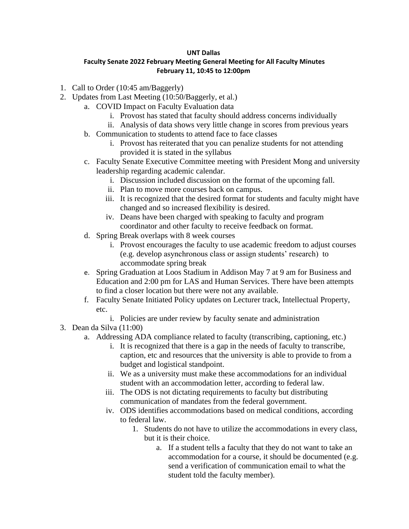## **UNT Dallas**

## **Faculty Senate 2022 February Meeting General Meeting for All Faculty Minutes February 11, 10:45 to 12:00pm**

- 1. Call to Order (10:45 am/Baggerly)
- 2. Updates from Last Meeting (10:50/Baggerly, et al.)
	- a. COVID Impact on Faculty Evaluation data
		- i. Provost has stated that faculty should address concerns individually
		- ii. Analysis of data shows very little change in scores from previous years
	- b. Communication to students to attend face to face classes
		- i. Provost has reiterated that you can penalize students for not attending provided it is stated in the syllabus
	- c. Faculty Senate Executive Committee meeting with President Mong and university leadership regarding academic calendar.
		- i. Discussion included discussion on the format of the upcoming fall.
		- ii. Plan to move more courses back on campus.
		- iii. It is recognized that the desired format for students and faculty might have changed and so increased flexibility is desired.
		- iv. Deans have been charged with speaking to faculty and program coordinator and other faculty to receive feedback on format.
	- d. Spring Break overlaps with 8 week courses
		- i. Provost encourages the faculty to use academic freedom to adjust courses (e.g. develop asynchronous class or assign students' research) to accommodate spring break
	- e. Spring Graduation at Loos Stadium in Addison May 7 at 9 am for Business and Education and 2:00 pm for LAS and Human Services. There have been attempts to find a closer location but there were not any available.
	- f. Faculty Senate Initiated Policy updates on Lecturer track, Intellectual Property, etc.
		- i. Policies are under review by faculty senate and administration
- 3. Dean da Silva (11:00)
	- a. Addressing ADA compliance related to faculty (transcribing, captioning, etc.)
		- i. It is recognized that there is a gap in the needs of faculty to transcribe, caption, etc and resources that the university is able to provide to from a budget and logistical standpoint.
		- ii. We as a university must make these accommodations for an individual student with an accommodation letter, according to federal law.
		- iii. The ODS is not dictating requirements to faculty but distributing communication of mandates from the federal government.
		- iv. ODS identifies accommodations based on medical conditions, according to federal law.
			- 1. Students do not have to utilize the accommodations in every class, but it is their choice.
				- a. If a student tells a faculty that they do not want to take an accommodation for a course, it should be documented (e.g. send a verification of communication email to what the student told the faculty member).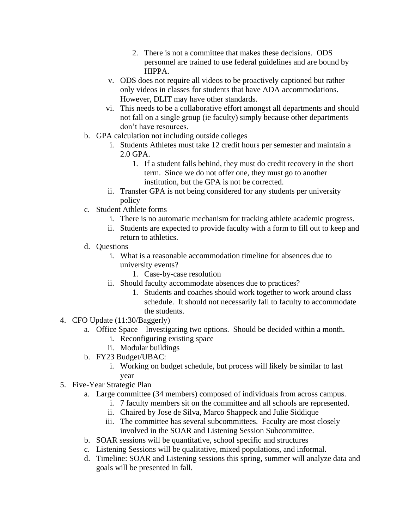- 2. There is not a committee that makes these decisions. ODS personnel are trained to use federal guidelines and are bound by HIPPA.
- v. ODS does not require all videos to be proactively captioned but rather only videos in classes for students that have ADA accommodations. However, DLIT may have other standards.
- vi. This needs to be a collaborative effort amongst all departments and should not fall on a single group (ie faculty) simply because other departments don't have resources.
- b. GPA calculation not including outside colleges
	- i. Students Athletes must take 12 credit hours per semester and maintain a 2.0 GPA.
		- 1. If a student falls behind, they must do credit recovery in the short term. Since we do not offer one, they must go to another institution, but the GPA is not be corrected.
	- ii. Transfer GPA is not being considered for any students per university policy
- c. Student Athlete forms
	- i. There is no automatic mechanism for tracking athlete academic progress.
	- ii. Students are expected to provide faculty with a form to fill out to keep and return to athletics.
- d. Questions
	- i. What is a reasonable accommodation timeline for absences due to university events?
		- 1. Case-by-case resolution
	- ii. Should faculty accommodate absences due to practices?
		- 1. Students and coaches should work together to work around class schedule. It should not necessarily fall to faculty to accommodate the students.
- 4. CFO Update (11:30/Baggerly)
	- a. Office Space Investigating two options. Should be decided within a month.
		- i. Reconfiguring existing space
		- ii. Modular buildings
	- b. FY23 Budget/UBAC:
		- i. Working on budget schedule, but process will likely be similar to last year
- 5. Five-Year Strategic Plan
	- a. Large committee (34 members) composed of individuals from across campus.
		- i. 7 faculty members sit on the committee and all schools are represented.
		- ii. Chaired by Jose de Silva, Marco Shappeck and Julie Siddique
		- iii. The committee has several subcommittees. Faculty are most closely involved in the SOAR and Listening Session Subcommittee.
	- b. SOAR sessions will be quantitative, school specific and structures
	- c. Listening Sessions will be qualitative, mixed populations, and informal.
	- d. Timeline: SOAR and Listening sessions this spring, summer will analyze data and goals will be presented in fall.